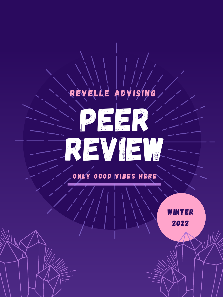







### WINTER 2022

### ONLY GOOD VIBES HERE

### REVELLE ADVISING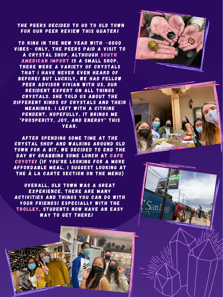#### THE PEERS DECIDED TO GO TO OLD TOWN FOR OUR PEER REVIEW THIS QUATER!

TO RING IN THE NEW YEAR WITH ~GOOD VIBES~ ONLY, THE PEERS PAID A VISIT TO A CRYSTAL SHOP. ALTHOUGH SOUTH AMERICAN IMPORT IS A SMALL SHOP, THERE WERE A VARIETY OF CRYSTALS THAT I HAVE NEVER EVEN HEARD OF BEFORE! BUT LUCKILY, WE HAD FELLOW PEER ADVISOR VIVIAN WITH US, OUR RESIDENT EXPERT ON ALL THINGS CRYSTALS. SHE TOLD US ABOUT THE DIFFERENT KINDS OF CRYSTALS AND THEIR MEANINGS. I LEFT WITH A CITRINE PENDENT. HOPEFULLY, IT BRINGS ME "PROSPERITY, JOY, AND ENERGY" THIS YEAR.

OVERALL, OLD TOWN WAS A GREAT EXPERIENCE. THERE ARE MANY ACTIVITIES AND THINGS YOU CAN DO WITH YOUR FRIENDS! ESPECIALLY WITH THE TROLLEY, STUDENTS NOW HAVE AN EASY WAY TO GET THERE!

AFTER SPENDING SOME TIME AT THE CRYSTAL SHOP AND WALKING AROUND OLD TOWN FOR A BIT, WE DECIDED TO END THE DAY BY GRABBING SOME LUNCH AT CAFE COYOTE! (IF YOU'RE LOOKING FOR A MORE AFFORDABLE MEAL, I SUGGEST LOOKING AT THE À LA CARTE SECTION ON THE MENU)





Santee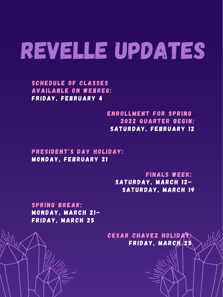#### SCHEDULE OF CLASSES AVAILABLE ON WEBREG: FRIDAY, FEBRUARY 4

#### ENROLLMENT FOR SPRING 2022 QUARTER BEGIN: SATURDAY, FEBRUARY 12

PRESIDENT'S DAY HOLIDAY:

#### MONDAY, FEBRUARY 21

#### FINALS WEEK: SATURDAY, MARCH 12- SATURDAY, MARCH 19

#### SPRING BREAK: MONDAY, MARCH 21- FRIDAY, MARCH 25

#### CESAR CHAVEZ HOLIDA FRIDAY, MARCH 25

# REVELLE UPDATES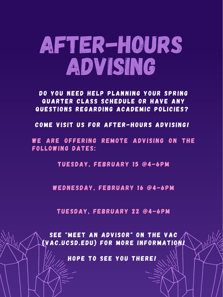DO YOU NEED HELP PLANNING YOUR SPRING QUARTER CLASS SCHEDULE OR HAVE ANY QUESTIONS REGARDING ACADEMIC POLICIES?

COME VISIT US FOR AFTER-HOURS ADVISING!

WE ARE OFFERING REMOTE ADVISING ON THE FOLLOWING DATES:

# AFter-Hours ADVISING

#### TUESDAY, FEBRUARY 15 @4-6PM

#### WEDNESDAY, FEBRUARY 16 @4-6PM

#### TUESDAY, FEBRUARY 22 @4-6PM

SEE "MEET AN ADVISOR" ON THE VAC (VAC.UCSD.EDU) FOR MORE INFORMATION!

HOPE TO SEE YOU THERE!